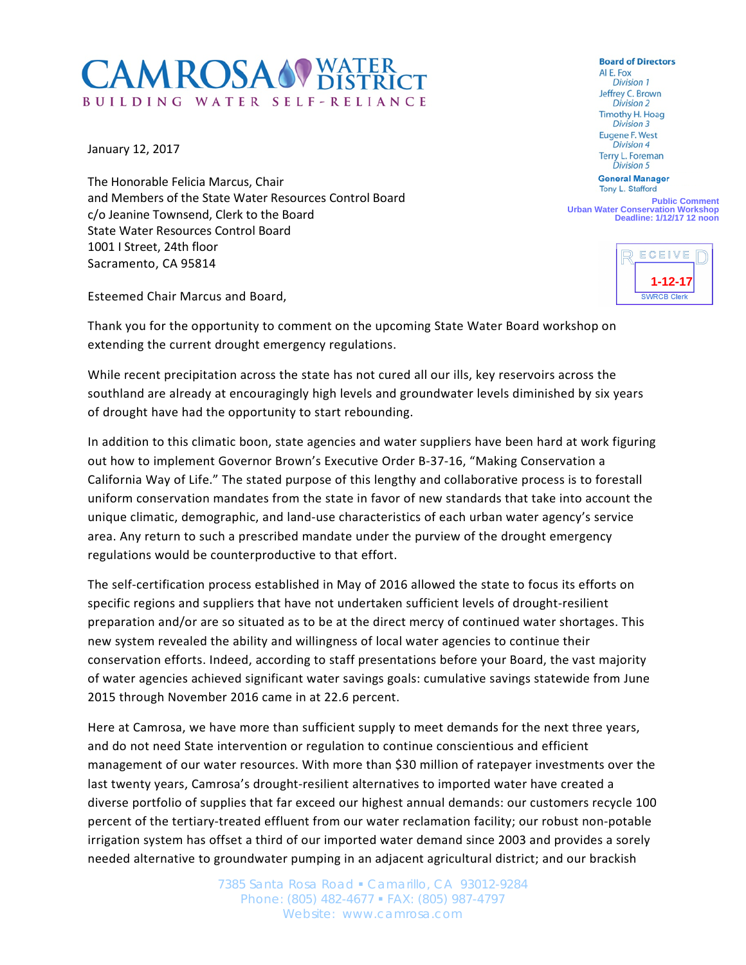## **CAMROSA OVATER** BUILDING WATER SELF-RELIANCE

January 12, 2017

The Honorable Felicia Marcus, Chair and Members of the State Water Resources Control Board c/o Jeanine Townsend, Clerk to the Board State Water Resources Control Board 1001 I Street, 24th floor Sacramento, CA 95814

Esteemed Chair Marcus and Board,

Thank you for the opportunity to comment on the upcoming State Water Board workshop on extending the current drought emergency regulations.

While recent precipitation across the state has not cured all our ills, key reservoirs across the southland are already at encouragingly high levels and groundwater levels diminished by six years of drought have had the opportunity to start rebounding.

In addition to this climatic boon, state agencies and water suppliers have been hard at work figuring out how to implement Governor Brown's Executive Order B-37-16, "Making Conservation a California Way of Life." The stated purpose of this lengthy and collaborative process is to forestall uniform conservation mandates from the state in favor of new standards that take into account the unique climatic, demographic, and land-use characteristics of each urban water agency's service area. Any return to such a prescribed mandate under the purview of the drought emergency regulations would be counterproductive to that effort.

The self-certification process established in May of 2016 allowed the state to focus its efforts on specific regions and suppliers that have not undertaken sufficient levels of drought-resilient preparation and/or are so situated as to be at the direct mercy of continued water shortages. This new system revealed the ability and willingness of local water agencies to continue their conservation efforts. Indeed, according to staff presentations before your Board, the vast majority of water agencies achieved significant water savings goals: cumulative savings statewide from June 2015 through November 2016 came in at 22.6 percent.

Here at Camrosa, we have more than sufficient supply to meet demands for the next three years, and do not need State intervention or regulation to continue conscientious and efficient management of our water resources. With more than \$30 million of ratepayer investments over the last twenty years, Camrosa's drought-resilient alternatives to imported water have created a diverse portfolio of supplies that far exceed our highest annual demands: our customers recycle 100 percent of the tertiary-treated effluent from our water reclamation facility; our robust non-potable irrigation system has offset a third of our imported water demand since 2003 and provides a sorely needed alternative to groundwater pumping in an adjacent agricultural district; and our brackish

> 7385 Santa Rosa Road Camarillo, CA 93012-9284 Phone: (805) 482-4677 FAX: (805) 987-4797 Website: www.camrosa.com

**Board of Directors** AI E. Fox **Division 1** Jeffrey C. Brown **Division 2 Timothy H. Hoag Division 3 Eugene F. West Division 4** Terry L. Foreman **Division 5** 

**General Manager** Tony L. Stafford

**Public Comment Urban Water Conservation Workshop Deadline: 1/12/17 12 noon**